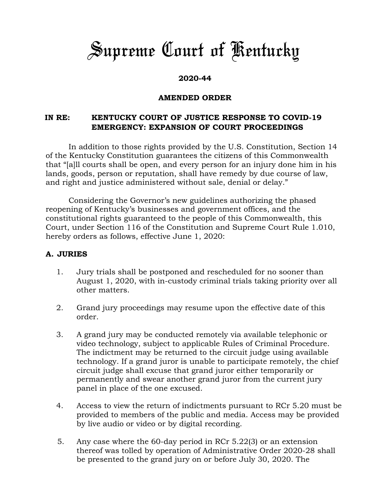# *Supreme Court of Kentucky*

## **2020-44**

#### **AMENDED ORDER**

## **IN RE: KENTUCKY COURT OF JUSTICE RESPONSE TO COVID-19 EMERGENCY: EXPANSION OF COURT PROCEEDINGS**

In addition to those rights provided by the U.S. Constitution, Section 14 of the Kentucky Constitution guarantees the citizens of this Commonwealth that "[a]ll courts shall be open, and every person for an injury done him in his lands, goods, person or reputation, shall have remedy by due course of law, and right and justice administered without sale, denial or delay."

Considering the Governor's new guidelines authorizing the phased reopening of Kentucky's businesses and government offices, and the constitutional rights guaranteed to the people of this Commonwealth, this Court, under Section 116 of the Constitution and Supreme Court Rule 1.010, hereby orders as follows, effective June 1, 2020:

#### **A. JURIES**

- 1. Jury trials shall be postponed and rescheduled for no sooner than August 1, 2020, with in-custody criminal trials taking priority over all other matters.
- 2. Grand jury proceedings may resume upon the effective date of this order.
- 3. A grand jury may be conducted remotely via available telephonic or video technology, subject to applicable Rules of Criminal Procedure. The indictment may be returned to the circuit judge using available technology. If a grand juror is unable to participate remotely, the chief circuit judge shall excuse that grand juror either temporarily or permanently and swear another grand juror from the current jury panel in place of the one excused.
- 4. Access to view the return of indictments pursuant to RCr 5.20 must be provided to members of the public and media. Access may be provided by live audio or video or by digital recording.
- 5. Any case where the 60-day period in RCr 5.22(3) or an extension thereof was tolled by operation of Administrative Order 2020-28 shall be presented to the grand jury on or before July 30, 2020. The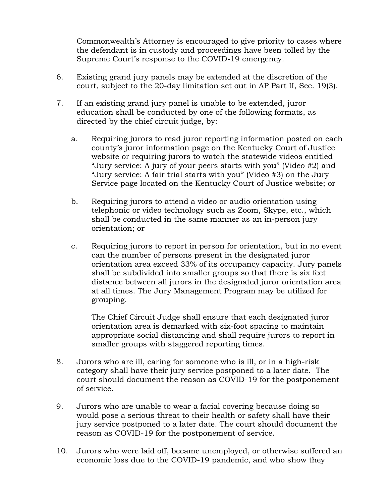Commonwealth's Attorney is encouraged to give priority to cases where the defendant is in custody and proceedings have been tolled by the Supreme Court's response to the COVID-19 emergency.

- 6. Existing grand jury panels may be extended at the discretion of the court, subject to the 20-day limitation set out in AP Part II, Sec. 19(3).
- 7. If an existing grand jury panel is unable to be extended, juror education shall be conducted by one of the following formats, as directed by the chief circuit judge, by:
	- a. Requiring jurors to read juror reporting information posted on each county's juror information page on the Kentucky Court of Justice website or requiring jurors to watch the statewide videos entitled "Jury service: A jury of your peers starts with you" (Video #2) and "Jury service: A fair trial starts with you" (Video #3) on the Jury Service page located on the Kentucky Court of Justice website; or
	- b. Requiring jurors to attend a video or audio orientation using telephonic or video technology such as Zoom, Skype, etc., which shall be conducted in the same manner as an in-person jury orientation; or
	- c. Requiring jurors to report in person for orientation, but in no event can the number of persons present in the designated juror orientation area exceed 33% of its occupancy capacity. Jury panels shall be subdivided into smaller groups so that there is six feet distance between all jurors in the designated juror orientation area at all times. The Jury Management Program may be utilized for grouping.

The Chief Circuit Judge shall ensure that each designated juror orientation area is demarked with six-foot spacing to maintain appropriate social distancing and shall require jurors to report in smaller groups with staggered reporting times.

- 8. Jurors who are ill, caring for someone who is ill, or in a high-risk category shall have their jury service postponed to a later date. The court should document the reason as COVID-19 for the postponement of service.
- 9. Jurors who are unable to wear a facial covering because doing so would pose a serious threat to their health or safety shall have their jury service postponed to a later date. The court should document the reason as COVID-19 for the postponement of service.
- 10. Jurors who were laid off, became unemployed, or otherwise suffered an economic loss due to the COVID-19 pandemic, and who show they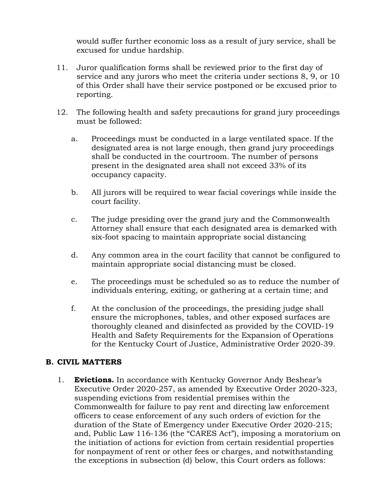would suffer further economic loss as a result of jury service, shall be excused for undue hardship.

- 11. Juror qualification forms shall be reviewed prior to the first day of service and any jurors who meet the criteria under sections 8, 9, or 10 of this Order shall have their service postponed or be excused prior to reporting.
- 12. The following health and safety precautions for grand jury proceedings must be followed:
	- a. Proceedings must be conducted in a large ventilated space. If the designated area is not large enough, then grand jury proceedings shall be conducted in the courtroom. The number of persons present in the designated area shall not exceed 33% of its occupancy capacity.
	- b. All jurors will be required to wear facial coverings while inside the court facility.
	- c. The judge presiding over the grand jury and the Commonwealth Attorney shall ensure that each designated area is demarked with six-foot spacing to maintain appropriate social distancing
	- d. Any common area in the court facility that cannot be configured to maintain appropriate social distancing must be closed.
	- e. The proceedings must be scheduled so as to reduce the number of individuals entering, exiting, or gathering at a certain time; and
	- f. At the conclusion of the proceedings, the presiding judge shall ensure the microphones, tables, and other exposed surfaces are thoroughly cleaned and disinfected as provided by the COVID-19 Health and Safety Requirements for the Expansion of Operations for the Kentucky Court of Justice, Administrative Order 2020-39.

#### **B. CIVIL MATTERS**

1. **Evictions.** In accordance with Kentucky Governor Andy Beshear's Executive Order 2020-257, as amended by Executive Order 2020-323, suspending evictions from residential premises within the Commonwealth for failure to pay rent and directing law enforcement officers to cease enforcement of any such orders of eviction for the duration of the State of Emergency under Executive Order 2020-215; and, Public Law 116-136 (the "CARES Act"), imposing a moratorium on the initiation of actions for eviction from certain residential properties for nonpayment of rent or other fees or charges, and notwithstanding the exceptions in subsection (d) below, this Court orders as follows: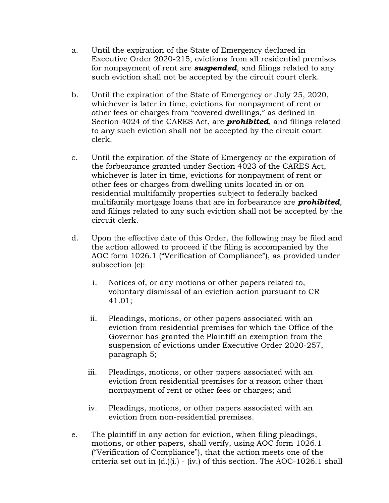- a. Until the expiration of the State of Emergency declared in Executive Order 2020-215, evictions from all residential premises for nonpayment of rent are *suspended*, and filings related to any such eviction shall not be accepted by the circuit court clerk.
- b. Until the expiration of the State of Emergency or July 25, 2020, whichever is later in time, evictions for nonpayment of rent or other fees or charges from "covered dwellings," as defined in Section 4024 of the CARES Act, are *prohibited*, and filings related to any such eviction shall not be accepted by the circuit court clerk.
- c. Until the expiration of the State of Emergency or the expiration of the forbearance granted under Section 4023 of the CARES Act, whichever is later in time, evictions for nonpayment of rent or other fees or charges from dwelling units located in or on residential multifamily properties subject to federally backed multifamily mortgage loans that are in forbearance are *prohibited*, and filings related to any such eviction shall not be accepted by the circuit clerk.
- d. Upon the effective date of this Order, the following may be filed and the action allowed to proceed if the filing is accompanied by the AOC form 1026.1 ("Verification of Compliance"), as provided under subsection (e):
	- i. Notices of, or any motions or other papers related to, voluntary dismissal of an eviction action pursuant to CR 41.01;
	- ii. Pleadings, motions, or other papers associated with an eviction from residential premises for which the Office of the Governor has granted the Plaintiff an exemption from the suspension of evictions under Executive Order 2020-257, paragraph 5;
	- iii. Pleadings, motions, or other papers associated with an eviction from residential premises for a reason other than nonpayment of rent or other fees or charges; and
	- iv. Pleadings, motions, or other papers associated with an eviction from non-residential premises.
- e. The plaintiff in any action for eviction, when filing pleadings, motions, or other papers, shall verify, using AOC form 1026.1 ("Verification of Compliance"), that the action meets one of the criteria set out in  $(d.)(i.)$  - (iv.) of this section. The AOC-1026.1 shall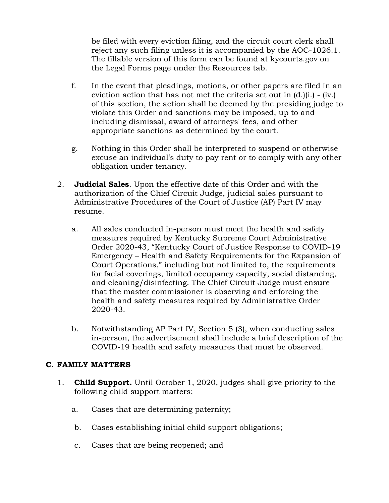be filed with every eviction filing, and the circuit court clerk shall reject any such filing unless it is accompanied by the AOC-1026.1. The fillable version of this form can be found at kycourts.gov on the Legal Forms page under the Resources tab.

- f. In the event that pleadings, motions, or other papers are filed in an eviction action that has not met the criteria set out in  $(d,)(i)$  - (iv.) of this section, the action shall be deemed by the presiding judge to violate this Order and sanctions may be imposed, up to and including dismissal, award of attorneys' fees, and other appropriate sanctions as determined by the court.
- g. Nothing in this Order shall be interpreted to suspend or otherwise excuse an individual's duty to pay rent or to comply with any other obligation under tenancy.
- 2. **Judicial Sales**. Upon the effective date of this Order and with the authorization of the Chief Circuit Judge, judicial sales pursuant to Administrative Procedures of the Court of Justice (AP) Part IV may resume.
	- a. All sales conducted in-person must meet the health and safety measures required by Kentucky Supreme Court Administrative Order 2020-43, "Kentucky Court of Justice Response to COVID-19 Emergency – Health and Safety Requirements for the Expansion of Court Operations," including but not limited to, the requirements for facial coverings, limited occupancy capacity, social distancing, and cleaning/disinfecting. The Chief Circuit Judge must ensure that the master commissioner is observing and enforcing the health and safety measures required by Administrative Order 2020-43.
	- b. Notwithstanding AP Part IV, Section 5 (3), when conducting sales in-person, the advertisement shall include a brief description of the COVID-19 health and safety measures that must be observed.

## **C. FAMILY MATTERS**

- 1. **Child Support.** Until October 1, 2020, judges shall give priority to the following child support matters:
	- a. Cases that are determining paternity;
	- b. Cases establishing initial child support obligations;
	- c. Cases that are being reopened; and